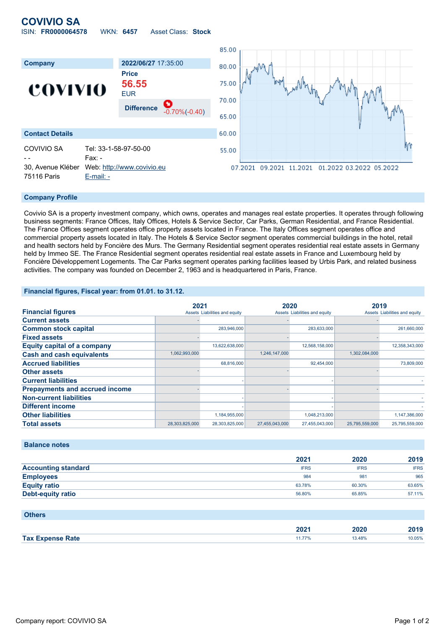## **COVIVIO SA** ISIN: **FR0000064578** WKN: **6457** Asset Class: **Stock**



#### **Company Profile**

Covivio SA is a property investment company, which owns, operates and manages real estate properties. It operates through following business segments: France Offices, Italy Offices, Hotels & Service Sector, Car Parks, German Residential, and France Residential. The France Offices segment operates office property assets located in France. The Italy Offices segment operates office and commercial property assets located in Italy. The Hotels & Service Sector segment operates commercial buildings in the hotel, retail and health sectors held by Foncière des Murs. The Germany Residential segment operates residential real estate assets in Germany held by Immeo SE. The France Residential segment operates residential real estate assets in France and Luxembourg held by Foncière Développement Logements. The Car Parks segment operates parking facilities leased by Urbis Park, and related business activities. The company was founded on December 2, 1963 and is headquartered in Paris, France.

#### **Financial figures, Fiscal year: from 01.01. to 31.12.**

|                                       |                | 2021                          |                               | 2020           |                               | 2019           |  |
|---------------------------------------|----------------|-------------------------------|-------------------------------|----------------|-------------------------------|----------------|--|
| <b>Financial figures</b>              |                | Assets Liabilities and equity | Assets Liabilities and equity |                | Assets Liabilities and equity |                |  |
| <b>Current assets</b>                 |                |                               |                               |                |                               |                |  |
| <b>Common stock capital</b>           |                | 283,946,000                   |                               | 283,633,000    |                               | 261,660,000    |  |
| <b>Fixed assets</b>                   |                |                               |                               |                |                               |                |  |
| <b>Equity capital of a company</b>    |                | 13,622,638,000                |                               | 12,568,158,000 |                               | 12,358,343,000 |  |
| <b>Cash and cash equivalents</b>      | 1,062,993,000  |                               | 1,246,147,000                 |                | 1,302,084,000                 |                |  |
| <b>Accrued liabilities</b>            |                | 68,816,000                    |                               | 92,454,000     |                               | 73,809,000     |  |
| <b>Other assets</b>                   |                |                               |                               |                |                               |                |  |
| <b>Current liabilities</b>            |                |                               |                               |                |                               |                |  |
| <b>Prepayments and accrued income</b> |                |                               |                               |                |                               |                |  |
| <b>Non-current liabilities</b>        |                |                               |                               |                |                               |                |  |
| <b>Different income</b>               |                |                               |                               |                |                               |                |  |
| <b>Other liabilities</b>              |                | 1,184,955,000                 |                               | 1,048,213,000  |                               | 1,147,386,000  |  |
| <b>Total assets</b>                   | 28,303,825,000 | 28,303,825,000                | 27,455,043,000                | 27,455,043,000 | 25,795,559,000                | 25,795,559,000 |  |

### **Balance notes**

|                            | 2021        | 2020        | 2019        |
|----------------------------|-------------|-------------|-------------|
| <b>Accounting standard</b> | <b>IFRS</b> | <b>IFRS</b> | <b>IFRS</b> |
| <b>Employees</b>           | 984         | 981         | 965         |
| <b>Equity ratio</b>        | 63.78%      | 60.30%      | 63.65%      |
| <b>Debt-equity ratio</b>   | 56.80%      | 65.85%      | 57.11%      |

#### **Others**

|                    | החה<br>ZUZ I | - - -<br>. | $-1$<br>40 I V |
|--------------------|--------------|------------|----------------|
| <b>Tax</b><br>'ate |              |            | 0.05%<br>.     |